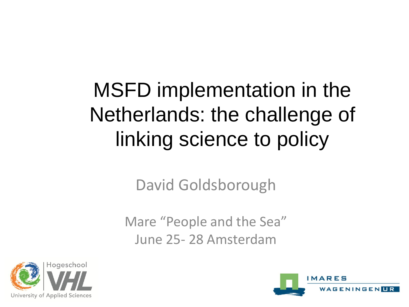#### MSFD implementation in the Netherlands: the challenge of linking science to policy

David Goldsborough

Mare "People and the Sea" June 25- 28 Amsterdam



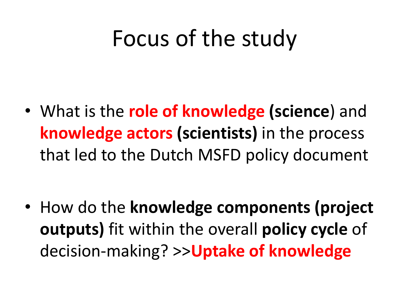### Focus of the study

• What is the **role of knowledge (science**) and **knowledge actors (scientists)** in the process that led to the Dutch MSFD policy document

• How do the **knowledge components (project outputs)** fit within the overall **policy cycle** of decision-making? >>**Uptake of knowledge**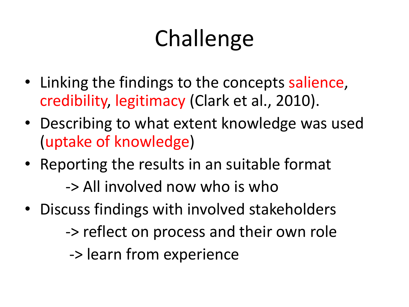# **Challenge**

- Linking the findings to the concepts salience, credibility, legitimacy (Clark et al., 2010).
- Describing to what extent knowledge was used (uptake of knowledge)
- Reporting the results in an suitable format

-> All involved now who is who

- Discuss findings with involved stakeholders
	- -> reflect on process and their own role

-> learn from experience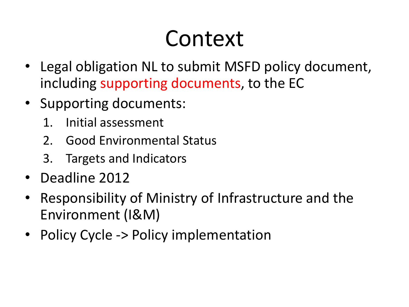### Context

- Legal obligation NL to submit MSFD policy document, including supporting documents, to the EC
- Supporting documents:
	- 1. Initial assessment
	- 2. Good Environmental Status
	- 3. Targets and Indicators
- Deadline 2012
- Responsibility of Ministry of Infrastructure and the Environment (I&M)
- Policy Cycle -> Policy implementation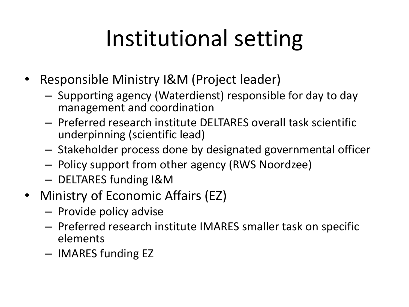## Institutional setting

- Responsible Ministry I&M (Project leader)
	- Supporting agency (Waterdienst) responsible for day to day management and coordination
	- Preferred research institute DELTARES overall task scientific underpinning (scientific lead)
	- Stakeholder process done by designated governmental officer
	- Policy support from other agency (RWS Noordzee)
	- DELTARES funding I&M
- Ministry of Economic Affairs (EZ)
	- Provide policy advise
	- Preferred research institute IMARES smaller task on specific elements
	- IMARES funding EZ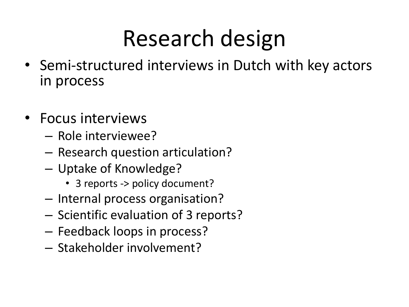## Research design

- Semi-structured interviews in Dutch with key actors in process
- Focus interviews
	- Role interviewee?
	- Research question articulation?
	- Uptake of Knowledge?
		- 3 reports -> policy document?
	- Internal process organisation?
	- Scientific evaluation of 3 reports?
	- Feedback loops in process?
	- Stakeholder involvement?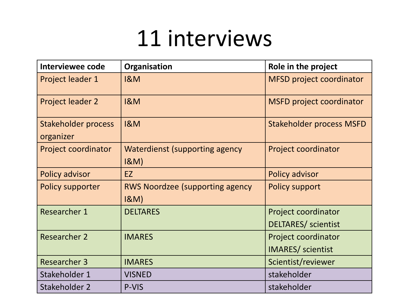#### 11 interviews

| Interviewee code                 | Organisation                                      | Role in the project             |
|----------------------------------|---------------------------------------------------|---------------------------------|
| Project leader 1                 | <b>1&amp;M</b>                                    | <b>MFSD project coordinator</b> |
| Project leader 2                 | <b>1&amp;M</b>                                    | <b>MSFD project coordinator</b> |
| Stakeholder process<br>organizer | <b>1&amp;M</b>                                    | <b>Stakeholder process MSFD</b> |
| Project coordinator              | Waterdienst (supporting agency<br>$18M$ )         | Project coordinator             |
| <b>Policy advisor</b>            | EZ                                                | Policy advisor                  |
| <b>Policy supporter</b>          | <b>RWS Noordzee (supporting agency</b><br>$18M$ ) | <b>Policy support</b>           |
| <b>Researcher 1</b>              | <b>DELTARES</b>                                   | Project coordinator             |
|                                  |                                                   | <b>DELTARES/</b> scientist      |
| <b>Researcher 2</b>              | <b>IMARES</b>                                     | Project coordinator             |
|                                  |                                                   | <b>IMARES</b> / scientist       |
| <b>Researcher 3</b>              | <b>IMARES</b>                                     | Scientist/reviewer              |
| Stakeholder 1                    | <b>VISNED</b>                                     | stakeholder                     |
| Stakeholder 2                    | P-VIS                                             | stakeholder                     |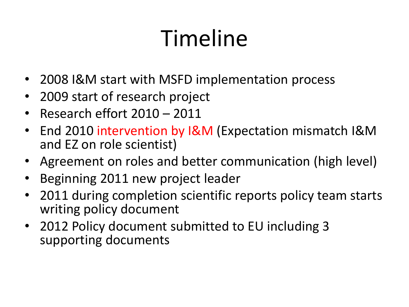# Timeline

- 2008 I&M start with MSFD implementation process
- 2009 start of research project
- Research effort 2010 2011
- End 2010 intervention by I&M (Expectation mismatch I&M and EZ on role scientist)
- Agreement on roles and better communication (high level)
- Beginning 2011 new project leader
- 2011 during completion scientific reports policy team starts writing policy document
- 2012 Policy document submitted to EU including 3 supporting documents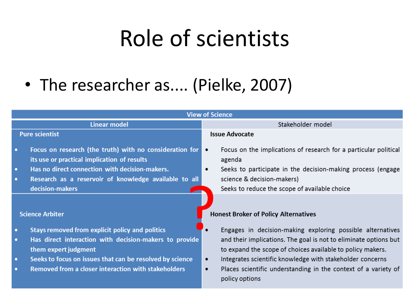### Role of scientists

#### • The researcher as.... (Pielke, 2007)

| <b>View of Science</b>                           |                                                                                                                                                                                                                                                                                       |                                                                                                                                                                                                                                                                                                                                                                                                                        |  |
|--------------------------------------------------|---------------------------------------------------------------------------------------------------------------------------------------------------------------------------------------------------------------------------------------------------------------------------------------|------------------------------------------------------------------------------------------------------------------------------------------------------------------------------------------------------------------------------------------------------------------------------------------------------------------------------------------------------------------------------------------------------------------------|--|
|                                                  | <b>Linear model</b>                                                                                                                                                                                                                                                                   | Stakeholder model                                                                                                                                                                                                                                                                                                                                                                                                      |  |
| <b>Pure scientist</b>                            |                                                                                                                                                                                                                                                                                       | <b>Issue Advocate</b>                                                                                                                                                                                                                                                                                                                                                                                                  |  |
| $\bullet$<br>$\bullet$<br>$\bullet$              | Focus on research (the truth) with no consideration for<br>its use or practical implication of results<br>Has no direct connection with decision-makers.<br>Research as a reservoir of knowledge available to all<br>decision-makers                                                  | Focus on the implications of research for a particular political<br>agenda<br>Seeks to participate in the decision-making process (engage<br>$\bullet$<br>science & decision-makers)<br>Seeks to reduce the scope of available choice                                                                                                                                                                                  |  |
| $\bullet$<br>$\bullet$<br>$\bullet$<br>$\bullet$ | <b>Science Arbiter</b><br>Stays removed from explicit policy and politics<br>Has direct interaction with decision-makers to provide<br>them expert judgment<br>Seeks to focus on issues that can be resolved by science<br><b>Removed from a closer interaction with stakeholders</b> | <b>Honest Broker of Policy Alternatives</b><br>Engages in decision-making exploring possible alternatives<br>and their implications. The goal is not to eliminate options but<br>to expand the scope of choices available to policy makers.<br>Integrates scientific knowledge with stakeholder concerns<br>$\bullet$<br>Places scientific understanding in the context of a variety of<br>$\bullet$<br>policy options |  |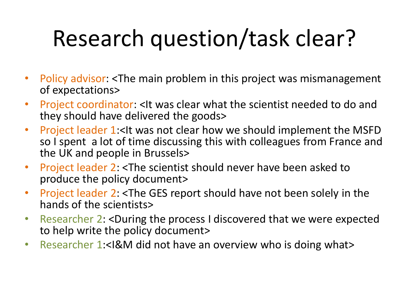# Research question/task clear?

- Policy advisor: <The main problem in this project was mismanagement of expectations>
- Project coordinator: <It was clear what the scientist needed to do and they should have delivered the goods>
- Project leader 1:<It was not clear how we should implement the MSFD so I spent a lot of time discussing this with colleagues from France and the UK and people in Brussels>
- Project leader 2: <The scientist should never have been asked to produce the policy document>
- Project leader 2: <The GES report should have not been solely in the hands of the scientists>
- Researcher 2: <During the process I discovered that we were expected to help write the policy document>
- Researcher 1:<I&M did not have an overview who is doing what>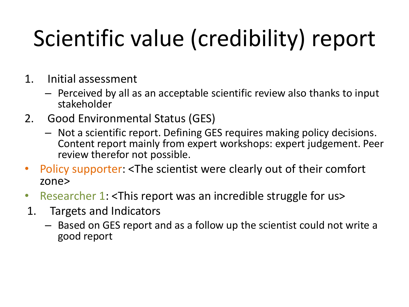# Scientific value (credibility) report

- 1. Initial assessment
	- Perceived by all as an acceptable scientific review also thanks to input stakeholder
- 2. Good Environmental Status (GES)
	- Not a scientific report. Defining GES requires making policy decisions. Content report mainly from expert workshops: expert judgement. Peer review therefor not possible.
- Policy supporter: <The scientist were clearly out of their comfort zone>
- Researcher 1: <This report was an incredible struggle for us>
- 1. Targets and Indicators
	- Based on GES report and as a follow up the scientist could not write a good report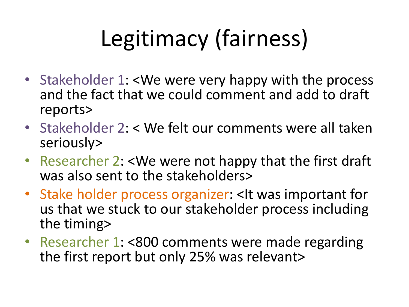# Legitimacy (fairness)

- Stakeholder 1: <We were very happy with the process and the fact that we could comment and add to draft reports>
- Stakeholder 2: < We felt our comments were all taken seriously>
- Researcher 2: <We were not happy that the first draft was also sent to the stakeholders>
- Stake holder process organizer: <It was important for us that we stuck to our stakeholder process including the timing>
- Researcher 1: <800 comments were made regarding the first report but only 25% was relevant>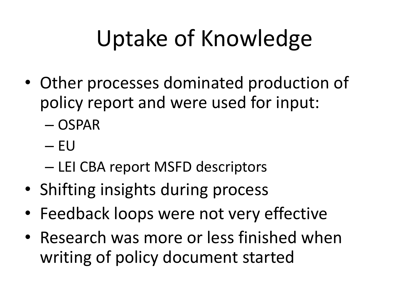# Uptake of Knowledge

- Other processes dominated production of policy report and were used for input:
	- OSPAR
	- EU
	- LEI CBA report MSFD descriptors
- Shifting insights during process
- Feedback loops were not very effective
- Research was more or less finished when writing of policy document started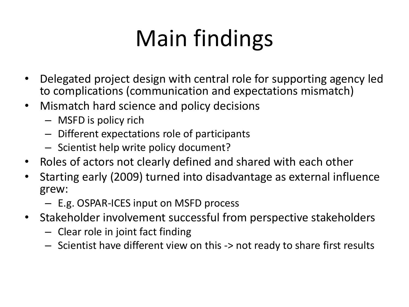# Main findings

- Delegated project design with central role for supporting agency led to complications (communication and expectations mismatch)
- Mismatch hard science and policy decisions
	- MSFD is policy rich
	- Different expectations role of participants
	- Scientist help write policy document?
- Roles of actors not clearly defined and shared with each other
- Starting early (2009) turned into disadvantage as external influence grew:
	- E.g. OSPAR-ICES input on MSFD process
- Stakeholder involvement successful from perspective stakeholders
	- Clear role in joint fact finding
	- Scientist have different view on this -> not ready to share first results